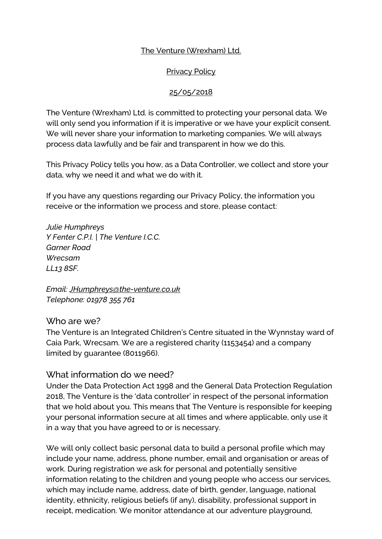#### The Venture (Wrexham) Ltd.

#### Privacy Policy

#### 25/05/2018

The Venture (Wrexham) Ltd. is committed to protecting your personal data. We will only send you information if it is imperative or we have your explicit consent. We will never share your information to marketing companies. We will always process data lawfully and be fair and transparent in how we do this.

This Privacy Policy tells you how, as a Data Controller, we collect and store your data, why we need it and what we do with it.

If you have any questions regarding our Privacy Policy, the information you receive or the information we process and store, please contact:

*Julie Humphreys Y Fenter C.P.I. | The Venture I.C.C. Garner Road Wrecsam LL13 8SF.*

*Email: [JHumphreys@the-venture.co.uk](mailto:JHumphreys@the-venture.co.uk) Telephone: 01978 355 761*

Who are we?

The Venture is an Integrated Children's Centre situated in the Wynnstay ward of Caia Park, Wrecsam. We are a registered charity (1153454) and a company limited by guarantee (8011966).

#### What information do we need?

Under the Data Protection Act 1998 and the General Data Protection Regulation 2018, The Venture is the 'data controller' in respect of the personal information that we hold about you. This means that The Venture is responsible for keeping your personal information secure at all times and where applicable, only use it in a way that you have agreed to or is necessary.

We will only collect basic personal data to build a personal profile which may include your name, address, phone number, email and organisation or areas of work. During registration we ask for personal and potentially sensitive information relating to the children and young people who access our services, which may include name, address, date of birth, gender, language, national identity, ethnicity, religious beliefs (if any), disability, professional support in receipt, medication. We monitor attendance at our adventure playground,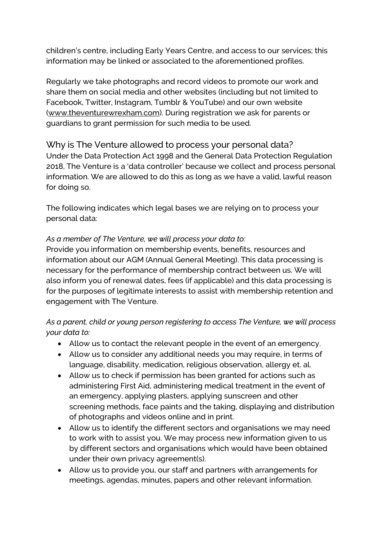children's centre, including Early Years Centre, and access to our services; this information may be linked or associated to the aforementioned profiles.

Regularly we take photographs and record videos to promote our work and share them on social media and other websites (including but not limited to Facebook, Twitter, Instagram, Tumblr & YouTube) and our own website [\(www.theventurewrexham.com\)](http://www.theventurewrexham.com/). During registration we ask for parents or guardians to grant permission for such media to be used.

# Why is The Venture allowed to process your personal data? Under the Data Protection Act 1998 and the General Data Protection Regulation 2018, The Venture is a 'data controller' because we collect and process personal information. We are allowed to do this as long as we have a valid, lawful reason for doing so.

The following indicates which legal bases we are relying on to process your personal data:

#### *As a member of The Venture, we will process your data to:*

Provide you information on membership events, benefits, resources and information about our AGM (Annual General Meeting). This data processing is necessary for the performance of membership contract between us. We will also inform you of renewal dates, fees (if applicable) and this data processing is for the purposes of legitimate interests to assist with membership retention and engagement with The Venture.

#### *As a parent, child or young person registering to access The Venture, we will process your data to:*

- Allow us to contact the relevant people in the event of an emergency.
- Allow us to consider any additional needs you may require, in terms of language, disability, medication, religious observation, allergy et. al.
- Allow us to check if permission has been granted for actions such as administering First Aid, administering medical treatment in the event of an emergency, applying plasters, applying sunscreen and other screening methods, face paints and the taking, displaying and distribution of photographs and videos online and in print.
- Allow us to identify the different sectors and organisations we may need to work with to assist you. We may process new information given to us by different sectors and organisations which would have been obtained under their own privacy agreement(s).
- Allow us to provide you, our staff and partners with arrangements for meetings, agendas, minutes, papers and other relevant information.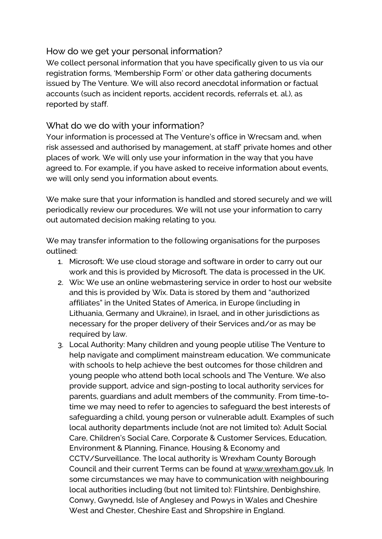### How do we get your personal information?

We collect personal information that you have specifically given to us via our registration forms, 'Membership Form' or other data gathering documents issued by The Venture. We will also record anecdotal information or factual accounts (such as incident reports, accident records, referrals et. al.), as reported by staff.

### What do we do with your information?

Your information is processed at The Venture's office in Wrecsam and, when risk assessed and authorised by management, at staff' private homes and other places of work. We will only use your information in the way that you have agreed to. For example, if you have asked to receive information about events, we will only send you information about events.

We make sure that your information is handled and stored securely and we will periodically review our procedures. We will not use your information to carry out automated decision making relating to you.

We may transfer information to the following organisations for the purposes outlined:

- 1. Microsoft: We use cloud storage and software in order to carry out our work and this is provided by Microsoft. The data is processed in the UK.
- 2. Wix: We use an online webmastering service in order to host our website and this is provided by Wix. Data is stored by them and "authorized affiliates" in the United States of America, in Europe (including in Lithuania, Germany and Ukraine), in Israel, and in other jurisdictions as necessary for the proper delivery of their Services and/or as may be required by law.
- 3. Local Authority: Many children and young people utilise The Venture to help navigate and compliment mainstream education. We communicate with schools to help achieve the best outcomes for those children and young people who attend both local schools and The Venture. We also provide support, advice and sign-posting to local authority services for parents, guardians and adult members of the community. From time-totime we may need to refer to agencies to safeguard the best interests of safeguarding a child, young person or vulnerable adult. Examples of such local authority departments include (not are not limited to): Adult Social Care, Children's Social Care, Corporate & Customer Services, Education, Environment & Planning, Finance, Housing & Economy and CCTV/Surveillance. The local authority is Wrexham County Borough Council and their current Terms can be found at [www.wrexham.gov.uk.](http://www.wrexham.gov.uk/) In some circumstances we may have to communication with neighbouring local authorities including (but not limited to): Flintshire, Denbighshire, Conwy, Gwynedd, Isle of Anglesey and Powys in Wales and Cheshire West and Chester, Cheshire East and Shropshire in England.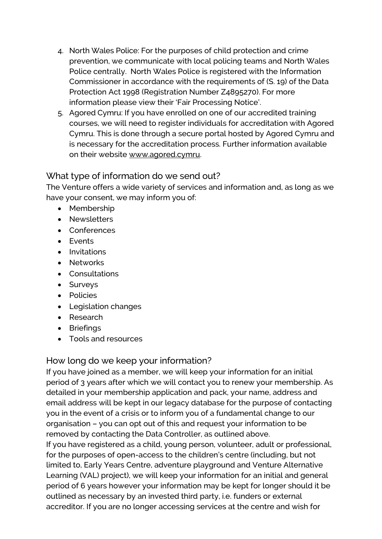- 4. North Wales Police: For the purposes of child protection and crime prevention, we communicate with local policing teams and North Wales Police centrally. North Wales Police is registered with the Information Commissioner in accordance with the requirements of (S. 19) of the Data Protection Act 1998 (Registration Number Z4895270). For more information please view their 'Fair Processing Notice'.
- 5. Agored Cymru: If you have enrolled on one of our accredited training courses, we will need to register individuals for accreditation with Agored Cymru. This is done through a secure portal hosted by Agored Cymru and is necessary for the accreditation process. Further information available on their website [www.agored.cymru.](http://www.agored.cymru/)

# What type of information do we send out?

The Venture offers a wide variety of services and information and, as long as we have your consent, we may inform you of:

- Membership
- Newsletters
- Conferences
- Events
- Invitations
- Networks
- Consultations
- Surveys
- Policies
- Legislation changes
- Research
- Briefings
- Tools and resources

# How long do we keep your information?

If you have joined as a member, we will keep your information for an initial period of 3 years after which we will contact you to renew your membership. As detailed in your membership application and pack, your name, address and email address will be kept in our legacy database for the purpose of contacting you in the event of a crisis or to inform you of a fundamental change to our organisation – you can opt out of this and request your information to be removed by contacting the Data Controller, as outlined above.

If you have registered as a child, young person, volunteer, adult or professional, for the purposes of open-access to the children's centre (including, but not limited to, Early Years Centre, adventure playground and Venture Alternative Learning (VAL) project), we will keep your information for an initial and general period of 6 years however your information may be kept for longer should it be outlined as necessary by an invested third party, i.e. funders or external accreditor. If you are no longer accessing services at the centre and wish for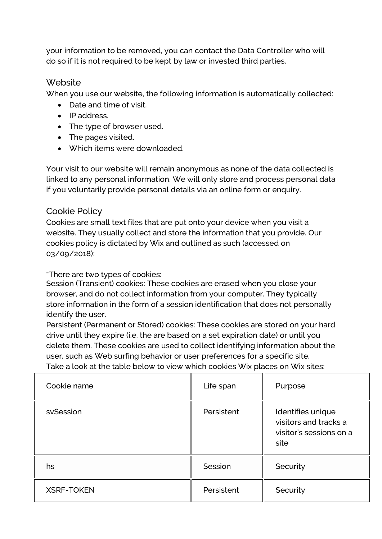your information to be removed, you can contact the Data Controller who will do so if it is not required to be kept by law or invested third parties.

# Website

When you use our website, the following information is automatically collected:

- Date and time of visit.
- IP address.
- The type of browser used.
- The pages visited.
- Which items were downloaded.

Your visit to our website will remain anonymous as none of the data collected is linked to any personal information. We will only store and process personal data if you voluntarily provide personal details via an online form or enquiry.

# Cookie Policy

Cookies are small text files that are put onto your device when you visit a website. They usually collect and store the information that you provide. Our cookies policy is dictated by Wix and outlined as such (accessed on 03/09/2018):

"There are two types of cookies:

Session (Transient) cookies: These cookies are erased when you close your browser, and do not collect information from your computer. They typically store information in the form of a session identification that does not personally identify the user.

Persistent (Permanent or Stored) cookies: These cookies are stored on your hard drive until they expire (i.e. the are based on a set expiration date) or until you delete them. These cookies are used to collect identifying information about the user, such as Web surfing behavior or user preferences for a specific site. Take a look at the table below to view which cookies Wix places on Wix sites:

| Cookie name       | Life span  | Purpose                                                                       |
|-------------------|------------|-------------------------------------------------------------------------------|
| svSession         | Persistent | Identifies unique<br>visitors and tracks a<br>visitor's sessions on a<br>site |
| hs                | Session    | Security                                                                      |
| <b>XSRF-TOKEN</b> | Persistent | Security                                                                      |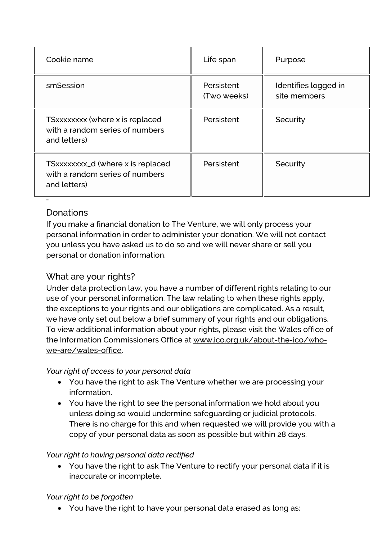| Cookie name                                                                          | Life span                 | Purpose                              |
|--------------------------------------------------------------------------------------|---------------------------|--------------------------------------|
| smSession                                                                            | Persistent<br>(Two weeks) | Identifies logged in<br>site members |
| TSxxxxxxx (where x is replaced<br>with a random series of numbers<br>and letters)    | Persistent                | Security                             |
| TSxxxxxxxx_d (where x is replaced<br>with a random series of numbers<br>and letters) | Persistent                | Security                             |

# **Donations**

"

If you make a financial donation to The Venture, we will only process your personal information in order to administer your donation. We will not contact you unless you have asked us to do so and we will never share or sell you personal or donation information.

# What are your rights?

Under data protection law, you have a number of different rights relating to our use of your personal information. The law relating to when these rights apply, the exceptions to your rights and our obligations are complicated. As a result, we have only set out below a brief summary of your rights and our obligations. To view additional information about your rights, please visit the Wales office of the Information Commissioners Office at [www.ico.org.uk/about-the-ico/who](http://www.ico.org.uk/about-the-ico/who-we-are/wales-office)[we-are/wales-office.](http://www.ico.org.uk/about-the-ico/who-we-are/wales-office)

# *Your right of access to your personal data*

- You have the right to ask The Venture whether we are processing your information.
- You have the right to see the personal information we hold about you unless doing so would undermine safeguarding or judicial protocols. There is no charge for this and when requested we will provide you with a copy of your personal data as soon as possible but within 28 days.

# *Your right to having personal data rectified*

• You have the right to ask The Venture to rectify your personal data if it is inaccurate or incomplete.

# *Your right to be forgotten*

• You have the right to have your personal data erased as long as: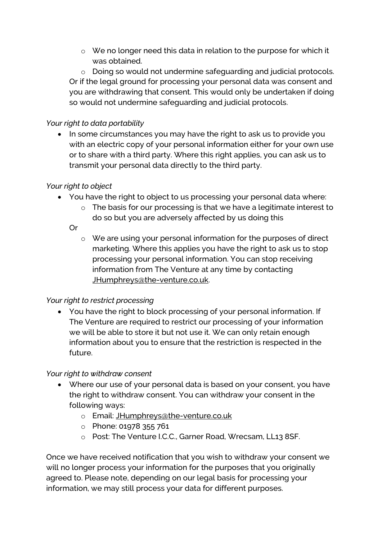o We no longer need this data in relation to the purpose for which it was obtained.

o Doing so would not undermine safeguarding and judicial protocols. Or if the legal ground for processing your personal data was consent and you are withdrawing that consent. This would only be undertaken if doing so would not undermine safeguarding and judicial protocols.

#### *Your right to data portability*

• In some circumstances you may have the right to ask us to provide you with an electric copy of your personal information either for your own use or to share with a third party. Where this right applies, you can ask us to transmit your personal data directly to the third party.

#### *Your right to object*

- You have the right to object to us processing your personal data where:
	- o The basis for our processing is that we have a legitimate interest to do so but you are adversely affected by us doing this

Or

o We are using your personal information for the purposes of direct marketing. Where this applies you have the right to ask us to stop processing your personal information. You can stop receiving information from The Venture at any time by contacting [JHumphreys@the-venture.co.uk.](mailto:JHumphreys@the-venture.co.uk)

#### *Your right to restrict processing*

• You have the right to block processing of your personal information. If The Venture are required to restrict our processing of your information we will be able to store it but not use it. We can only retain enough information about you to ensure that the restriction is respected in the future.

#### *Your right to withdraw consent*

- Where our use of your personal data is based on your consent, you have the right to withdraw consent. You can withdraw your consent in the following ways:
	- o Email: [JHumphreys@the-venture.co.uk](mailto:JHumphreys@the-venture.co.uk)
	- o Phone: 01978 355 761
	- o Post: The Venture I.C.C., Garner Road, Wrecsam, LL13 8SF.

Once we have received notification that you wish to withdraw your consent we will no longer process your information for the purposes that you originally agreed to. Please note, depending on our legal basis for processing your information, we may still process your data for different purposes.